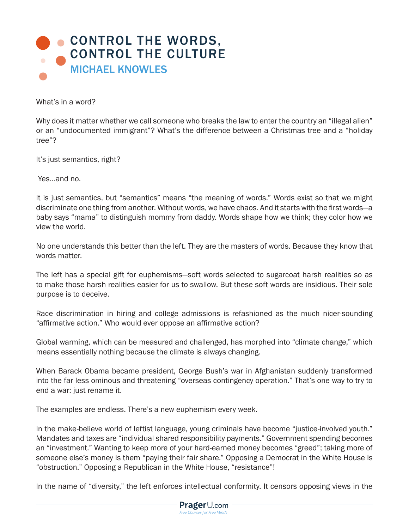

What's in a word?

Why does it matter whether we call someone who breaks the law to enter the country an "illegal alien" or an "undocumented immigrant"? What's the difference between a Christmas tree and a "holiday tree"?

It's just semantics, right?

Yes…and no.

It is just semantics, but "semantics" means "the meaning of words." Words exist so that we might discriminate one thing from another. Without words, we have chaos. And it starts with the first words—a baby says "mama" to distinguish mommy from daddy. Words shape how we think; they color how we view the world.

No one understands this better than the left. They are the masters of words. Because they know that words matter.

The left has a special gift for euphemisms—soft words selected to sugarcoat harsh realities so as to make those harsh realities easier for us to swallow. But these soft words are insidious. Their sole purpose is to deceive.

Race discrimination in hiring and college admissions is refashioned as the much nicer-sounding "affirmative action." Who would ever oppose an affirmative action?

Global warming, which can be measured and challenged, has morphed into "climate change," which means essentially nothing because the climate is always changing.

When Barack Obama became president, George Bush's war in Afghanistan suddenly transformed into the far less ominous and threatening "overseas contingency operation." That's one way to try to end a war: just rename it.

The examples are endless. There's a new euphemism every week.

In the make-believe world of leftist language, young criminals have become "justice-involved youth." Mandates and taxes are "individual shared responsibility payments." Government spending becomes an "investment." Wanting to keep more of your hard-earned money becomes "greed"; taking more of someone else's money is them "paying their fair share." Opposing a Democrat in the White House is "obstruction." Opposing a Republican in the White House, "resistance"!

In the name of "diversity," the left enforces intellectual conformity. It censors opposing views in the